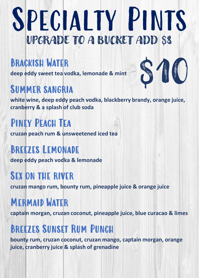### Specialty Pints UPGRADE TO A BUCKET ADD \$8

#### Brackish Water

**deep eddy sweet tea vodka, lemonade & mint**

#### Summer sangria

**white wine, deep eddy peach vodka, blackberry brandy, orange juice, cranberry & a splash of club soda**

\$10

PINEY PEACH TEA **cruzan peach rum & unsweetened iced tea**

#### Breezes Lemonade

**deep eddy peach vodka & lemonade**

#### Sex on the river

**cruzan mango rum, bounty rum, pineapple juice & orange juice**

#### Mermaid Water

**captain morgan, cruzan coconut, pineapple juice, blue curacao & limes**

#### Breezes Sunset Rum Punch

**bounty rum, cruzan coconut, cruzan mango, captain morgan, orange juice, cranberry juice & splash of grenadine**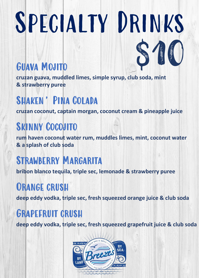## SPECIALTY DRINKS

\$10

#### Guava Mojito

**cruzan guava, muddled limes, simple syrup, club soda, mint & strawberry puree**

#### SHAKEN' PINA COLADA

**cruzan coconut, captain morgan, coconut cream & pineapple juice**

#### Skinny Cocojito

**rum haven coconut water rum, muddles limes, mint, coconut water & a splash of club soda**

#### Strawberry Margarita

**bribon blanco tequila, triple sec, lemonade & strawberry puree**

#### ORANGE CRUSH

**deep eddy vodka, triple sec, fresh squeezed orange juice & club soda**

#### Grapefruit crush

**deep eddy vodka, triple sec, fresh squeezed grapefruit juice & club soda**